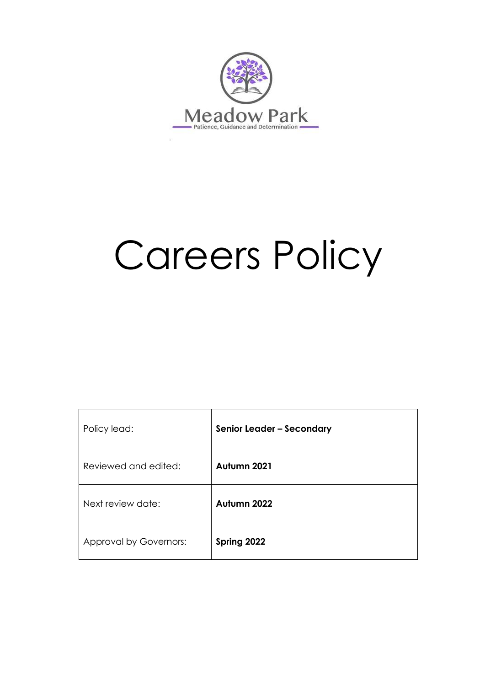

# Careers Policy

| Policy lead:           | Senior Leader - Secondary |
|------------------------|---------------------------|
| Reviewed and edited:   | Autumn 2021               |
| Next review date:      | Autumn 2022               |
| Approval by Governors: | Spring 2022               |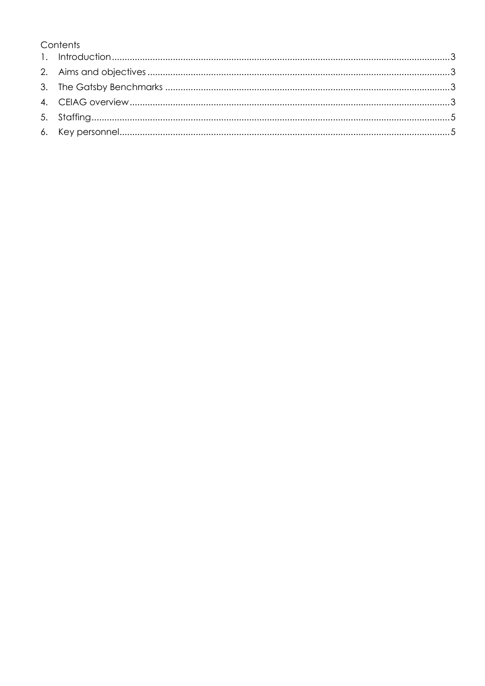# Contents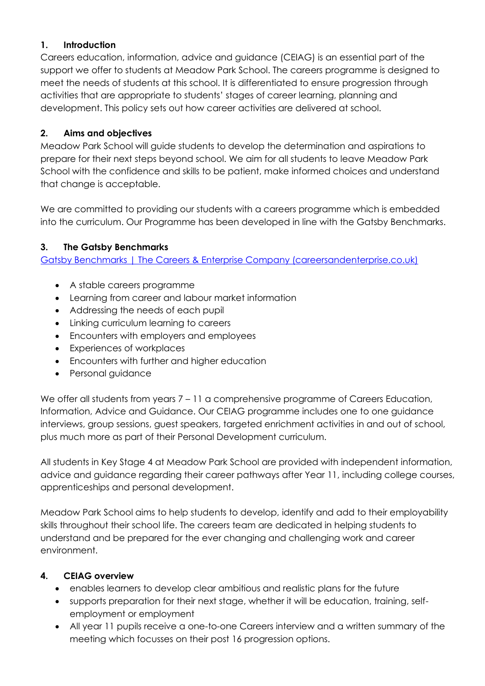### <span id="page-2-0"></span>**1. Introduction**

Careers education, information, advice and guidance (CEIAG) is an essential part of the support we offer to students at Meadow Park School. The careers programme is designed to meet the needs of students at this school. It is differentiated to ensure progression through activities that are appropriate to students' stages of career learning, planning and development. This policy sets out how career activities are delivered at school.

# <span id="page-2-1"></span>**2. Aims and objectives**

Meadow Park School will guide students to develop the determination and aspirations to prepare for their next steps beyond school. We aim for all students to leave Meadow Park School with the confidence and skills to be patient, make informed choices and understand that change is acceptable.

We are committed to providing our students with a careers programme which is embedded into the curriculum. Our Programme has been developed in line with the Gatsby Benchmarks.

## <span id="page-2-2"></span>**3. The Gatsby Benchmarks**

[Gatsby Benchmarks | The Careers & Enterprise Company \(careersandenterprise.co.uk\)](https://www.careersandenterprise.co.uk/schools-colleges/gatsby-benchmarks)

- A stable careers programme
- Learning from career and labour market information
- Addressing the needs of each pupil
- Linking curriculum learning to careers
- Encounters with employers and employees
- Experiences of workplaces
- Encounters with further and higher education
- Personal guidance

We offer all students from years 7 – 11 a comprehensive programme of Careers Education, Information, Advice and Guidance. Our CEIAG programme includes one to one guidance interviews, group sessions, guest speakers, targeted enrichment activities in and out of school, plus much more as part of their Personal Development curriculum.

All students in Key Stage 4 at Meadow Park School are provided with independent information, advice and guidance regarding their career pathways after Year 11, including college courses, apprenticeships and personal development.

Meadow Park School aims to help students to develop, identify and add to their employability skills throughout their school life. The careers team are dedicated in helping students to understand and be prepared for the ever changing and challenging work and career environment.

# <span id="page-2-3"></span>**4. CEIAG overview**

- enables learners to develop clear ambitious and realistic plans for the future
- supports preparation for their next stage, whether it will be education, training, selfemployment or employment
- All year 11 pupils receive a one-to-one Careers interview and a written summary of the meeting which focusses on their post 16 progression options.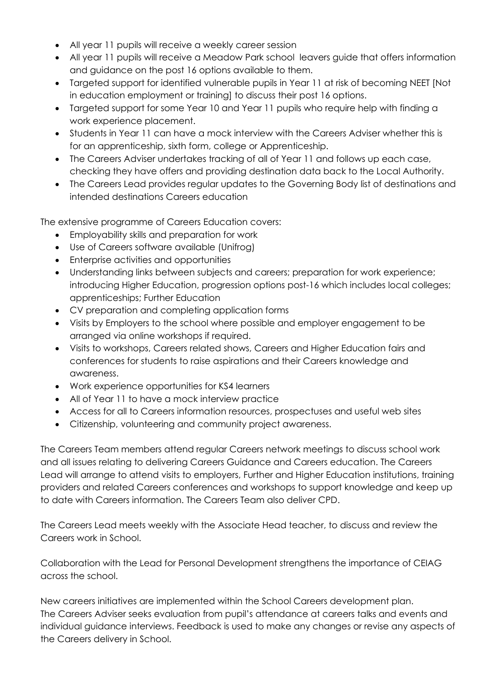- All year 11 pupils will receive a weekly career session
- All year 11 pupils will receive a Meadow Park school leavers guide that offers information and guidance on the post 16 options available to them.
- Targeted support for identified vulnerable pupils in Year 11 at risk of becoming NEET [Not in education employment or training] to discuss their post 16 options.
- Targeted support for some Year 10 and Year 11 pupils who require help with finding a work experience placement.
- Students in Year 11 can have a mock interview with the Careers Adviser whether this is for an apprenticeship, sixth form, college or Apprenticeship.
- The Careers Adviser undertakes tracking of all of Year 11 and follows up each case, checking they have offers and providing destination data back to the Local Authority.
- The Careers Lead provides regular updates to the Governing Body list of destinations and intended destinations Careers education

The extensive programme of Careers Education covers:

- Employability skills and preparation for work
- Use of Careers software available (Unifrog)
- Enterprise activities and opportunities
- Understanding links between subjects and careers; preparation for work experience; introducing Higher Education, progression options post-16 which includes local colleges; apprenticeships; Further Education
- CV preparation and completing application forms
- Visits by Employers to the school where possible and employer engagement to be arranged via online workshops if required.
- Visits to workshops, Careers related shows, Careers and Higher Education fairs and conferences for students to raise aspirations and their Careers knowledge and awareness.
- Work experience opportunities for KS4 learners
- All of Year 11 to have a mock interview practice
- Access for all to Careers information resources, prospectuses and useful web sites
- Citizenship, volunteering and community project awareness.

The Careers Team members attend regular Careers network meetings to discuss school work and all issues relating to delivering Careers Guidance and Careers education. The Careers Lead will arrange to attend visits to employers, Further and Higher Education institutions, training providers and related Careers conferences and workshops to support knowledge and keep up to date with Careers information. The Careers Team also deliver CPD.

The Careers Lead meets weekly with the Associate Head teacher, to discuss and review the Careers work in School.

Collaboration with the Lead for Personal Development strengthens the importance of CEIAG across the school.

New careers initiatives are implemented within the School Careers development plan. The Careers Adviser seeks evaluation from pupil's attendance at careers talks and events and individual guidance interviews. Feedback is used to make any changes or revise any aspects of the Careers delivery in School.